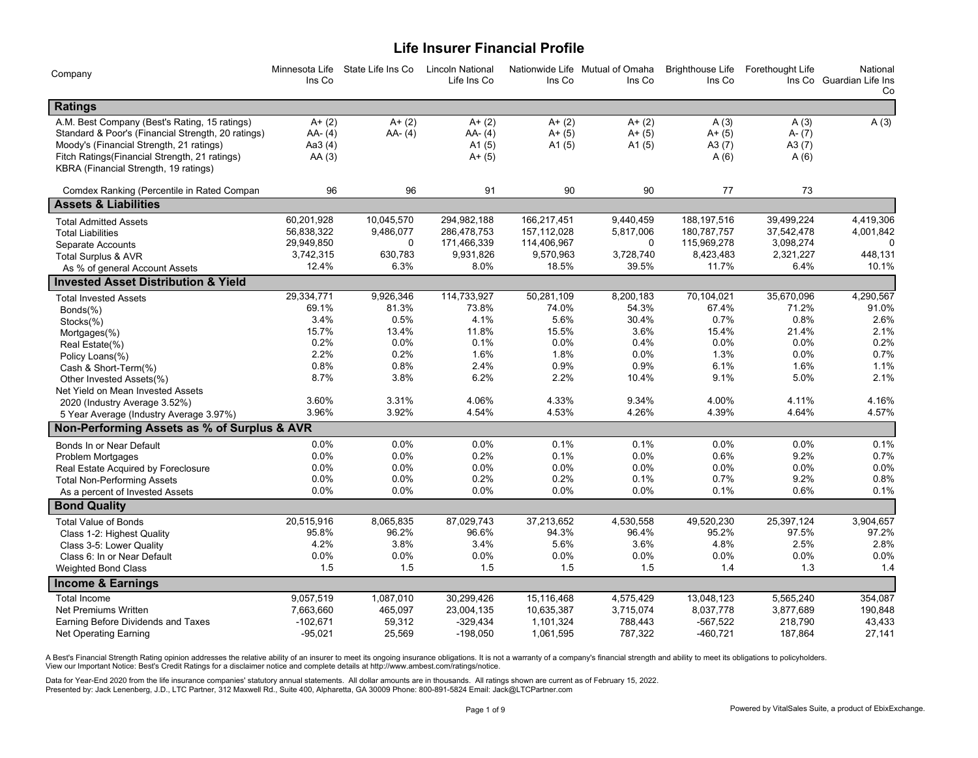# **Life Insurer Financial Profile**

| Company                                            | Ins Co     | Minnesota Life State Life Ins Co | <b>Lincoln National</b><br>Life Ins Co | Ins Co      | Nationwide Life Mutual of Omaha<br>Ins Co | <b>Brighthouse Life</b><br>Ins Co | Forethought Life | National<br>Ins Co Guardian Life Ins<br>Co |
|----------------------------------------------------|------------|----------------------------------|----------------------------------------|-------------|-------------------------------------------|-----------------------------------|------------------|--------------------------------------------|
| Ratings                                            |            |                                  |                                        |             |                                           |                                   |                  |                                            |
| A.M. Best Company (Best's Rating, 15 ratings)      | $A + (2)$  | $A + (2)$                        | $A + (2)$                              | $A + (2)$   | $A + (2)$                                 | A(3)                              | A(3)             | A(3)                                       |
| Standard & Poor's (Financial Strength, 20 ratings) | AA-(4)     | AA-(4)                           | AA-(4)                                 | $A + (5)$   | $A + (5)$                                 | $A + (5)$                         | $A - (7)$        |                                            |
| Moody's (Financial Strength, 21 ratings)           | Aa3 (4)    |                                  | A1 $(5)$                               | A1 $(5)$    | A1 $(5)$                                  | A3 $(7)$                          | A3(7)            |                                            |
| Fitch Ratings(Financial Strength, 21 ratings)      | AA(3)      |                                  | $A + (5)$                              |             |                                           | A(6)                              | A(6)             |                                            |
| KBRA (Financial Strength, 19 ratings)              |            |                                  |                                        |             |                                           |                                   |                  |                                            |
| Comdex Ranking (Percentile in Rated Compan         | 96         | 96                               | 91                                     | 90          | 90                                        | 77                                | 73               |                                            |
| <b>Assets &amp; Liabilities</b>                    |            |                                  |                                        |             |                                           |                                   |                  |                                            |
| <b>Total Admitted Assets</b>                       | 60,201,928 | 10,045,570                       | 294,982,188                            | 166,217,451 | 9,440,459                                 | 188, 197, 516                     | 39,499,224       | 4.419.306                                  |
| <b>Total Liabilities</b>                           | 56,838,322 | 9,486,077                        | 286,478,753                            | 157,112,028 | 5,817,006                                 | 180,787,757                       | 37,542,478       | 4,001,842                                  |
| Separate Accounts                                  | 29,949,850 | $\Omega$                         | 171,466,339                            | 114,406,967 | $\Omega$                                  | 115,969,278                       | 3,098,274        | $\Omega$                                   |
| Total Surplus & AVR                                | 3,742,315  | 630,783                          | 9,931,826                              | 9,570,963   | 3,728,740                                 | 8,423,483                         | 2,321,227        | 448,131                                    |
| As % of general Account Assets                     | 12.4%      | 6.3%                             | 8.0%                                   | 18.5%       | 39.5%                                     | 11.7%                             | 6.4%             | 10.1%                                      |
| <b>Invested Asset Distribution &amp; Yield</b>     |            |                                  |                                        |             |                                           |                                   |                  |                                            |
| <b>Total Invested Assets</b>                       | 29,334,771 | 9,926,346                        | 114,733,927                            | 50,281,109  | 8,200,183                                 | 70,104,021                        | 35,670,096       | 4,290,567                                  |
| Bonds(%)                                           | 69.1%      | 81.3%                            | 73.8%                                  | 74.0%       | 54.3%                                     | 67.4%                             | 71.2%            | 91.0%                                      |
| Stocks(%)                                          | 3.4%       | 0.5%                             | 4.1%                                   | 5.6%        | 30.4%                                     | 0.7%                              | 0.8%             | 2.6%                                       |
| Mortgages(%)                                       | 15.7%      | 13.4%                            | 11.8%                                  | 15.5%       | 3.6%                                      | 15.4%                             | 21.4%            | 2.1%                                       |
| Real Estate(%)                                     | 0.2%       | 0.0%                             | 0.1%                                   | 0.0%        | 0.4%                                      | 0.0%                              | 0.0%             | 0.2%                                       |
| Policy Loans(%)                                    | 2.2%       | 0.2%                             | 1.6%                                   | 1.8%        | 0.0%                                      | 1.3%                              | $0.0\%$          | 0.7%                                       |
| Cash & Short-Term(%)                               | 0.8%       | 0.8%                             | 2.4%                                   | 0.9%        | 0.9%                                      | 6.1%                              | 1.6%             | 1.1%                                       |
| Other Invested Assets(%)                           | 8.7%       | 3.8%                             | 6.2%                                   | 2.2%        | 10.4%                                     | 9.1%                              | 5.0%             | 2.1%                                       |
| Net Yield on Mean Invested Assets                  |            |                                  |                                        |             |                                           |                                   |                  |                                            |
| 2020 (Industry Average 3.52%)                      | 3.60%      | 3.31%                            | 4.06%                                  | 4.33%       | 9.34%                                     | 4.00%                             | 4.11%            | 4.16%                                      |
| 5 Year Average (Industry Average 3.97%)            | 3.96%      | 3.92%                            | 4.54%                                  | 4.53%       | 4.26%                                     | 4.39%                             | 4.64%            | 4.57%                                      |
| Non-Performing Assets as % of Surplus & AVR        |            |                                  |                                        |             |                                           |                                   |                  |                                            |
| Bonds In or Near Default                           | 0.0%       | 0.0%                             | $0.0\%$                                | 0.1%        | 0.1%                                      | 0.0%                              | 0.0%             | 0.1%                                       |
| <b>Problem Mortgages</b>                           | 0.0%       | 0.0%                             | 0.2%                                   | 0.1%        | 0.0%                                      | 0.6%                              | 9.2%             | 0.7%                                       |
| Real Estate Acquired by Foreclosure                | 0.0%       | 0.0%                             | 0.0%                                   | 0.0%        | 0.0%                                      | 0.0%                              | 0.0%             | 0.0%                                       |
| <b>Total Non-Performing Assets</b>                 | 0.0%       | 0.0%                             | 0.2%                                   | 0.2%        | 0.1%                                      | 0.7%                              | 9.2%             | 0.8%                                       |
| As a percent of Invested Assets                    | 0.0%       | 0.0%                             | $0.0\%$                                | $0.0\%$     | 0.0%                                      | 0.1%                              | 0.6%             | 0.1%                                       |
| <b>Bond Quality</b>                                |            |                                  |                                        |             |                                           |                                   |                  |                                            |
| <b>Total Value of Bonds</b>                        | 20,515,916 | 8,065,835                        | 87,029,743                             | 37,213,652  | 4,530,558                                 | 49,520,230                        | 25,397,124       | 3,904,657                                  |
| Class 1-2: Highest Quality                         | 95.8%      | 96.2%                            | 96.6%                                  | 94.3%       | 96.4%                                     | 95.2%                             | 97.5%            | 97.2%                                      |
| Class 3-5: Lower Quality                           | 4.2%       | 3.8%                             | 3.4%                                   | 5.6%        | 3.6%                                      | 4.8%                              | 2.5%             | 2.8%                                       |
| Class 6: In or Near Default                        | 0.0%       | 0.0%                             | 0.0%                                   | 0.0%        | 0.0%                                      | 0.0%                              | 0.0%             | 0.0%                                       |
| <b>Weighted Bond Class</b>                         | 1.5        | 1.5                              | 1.5                                    | 1.5         | 1.5                                       | 1.4                               | 1.3              | 1.4                                        |
| <b>Income &amp; Earnings</b>                       |            |                                  |                                        |             |                                           |                                   |                  |                                            |
| <b>Total Income</b>                                | 9,057,519  | 1,087,010                        | 30,299,426                             | 15,116,468  | 4,575,429                                 | 13,048,123                        | 5,565,240        | 354,087                                    |
| Net Premiums Written                               | 7,663,660  | 465,097                          | 23,004,135                             | 10,635,387  | 3,715,074                                 | 8,037,778                         | 3,877,689        | 190,848                                    |
| Earning Before Dividends and Taxes                 | $-102,671$ | 59.312                           | $-329.434$                             | 1,101,324   | 788,443                                   | $-567,522$                        | 218,790          | 43,433                                     |
| Net Operating Earning                              | $-95,021$  | 25.569                           | $-198,050$                             | 1,061,595   | 787,322                                   | $-460,721$                        | 187,864          | 27,141                                     |

A Best's Financial Strength Rating opinion addresses the relative ability of an insurer to meet its ongoing insurance obligations. It is not a warranty of a company's financial strength and ability to meet its obligations

Data for Year-End 2020 from the life insurance companies' statutory annual statements. All dollar amounts are in thousands. All ratings shown are current as of February 15, 2022. Presented by: Jack Lenenberg, J.D., LTC Partner, 312 Maxwell Rd., Suite 400, Alpharetta, GA 30009 Phone: 800-891-5824 Email: Jack@LTCPartner.com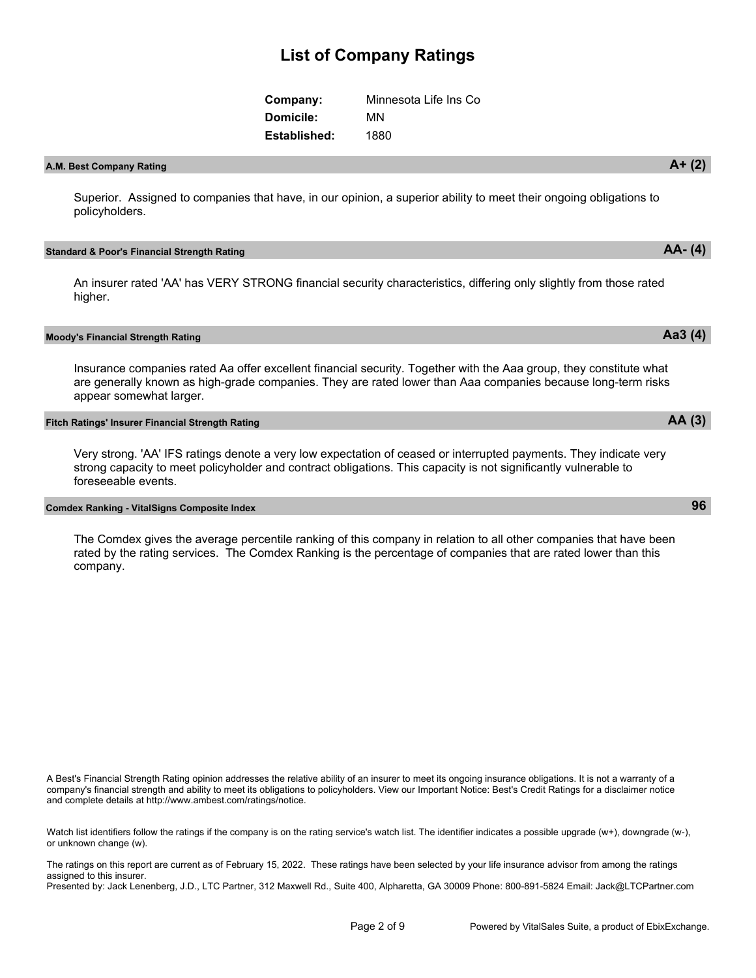| Company:         | Minnesota Life Ins Co |
|------------------|-----------------------|
| <b>Domicile:</b> | MΝ                    |
| Established:     | 1880                  |

## **A.M. Best Company Rating A+ (2)**

Superior. Assigned to companies that have, in our opinion, a superior ability to meet their ongoing obligations to policyholders.

#### **Standard & Poor's Financial Strength Rating AA- (4)**

An insurer rated 'AA' has VERY STRONG financial security characteristics, differing only slightly from those rated higher.

#### **Moody's Financial Strength Rating Aa3 (4)**

Insurance companies rated Aa offer excellent financial security. Together with the Aaa group, they constitute what are generally known as high-grade companies. They are rated lower than Aaa companies because long-term risks appear somewhat larger.

## **Fitch Ratings' Insurer Financial Strength Rating AA (3)**

Very strong. 'AA' IFS ratings denote a very low expectation of ceased or interrupted payments. They indicate very strong capacity to meet policyholder and contract obligations. This capacity is not significantly vulnerable to foreseeable events.

### **Comdex Ranking - VitalSigns Composite Index 96**

The Comdex gives the average percentile ranking of this company in relation to all other companies that have been rated by the rating services. The Comdex Ranking is the percentage of companies that are rated lower than this company.

A Best's Financial Strength Rating opinion addresses the relative ability of an insurer to meet its ongoing insurance obligations. It is not a warranty of a company's financial strength and ability to meet its obligations to policyholders. View our Important Notice: Best's Credit Ratings for a disclaimer notice and complete details at http://www.ambest.com/ratings/notice.

Watch list identifiers follow the ratings if the company is on the rating service's watch list. The identifier indicates a possible upgrade (w+), downgrade (w-), or unknown change (w).

The ratings on this report are current as of February 15, 2022. These ratings have been selected by your life insurance advisor from among the ratings assigned to this insurer.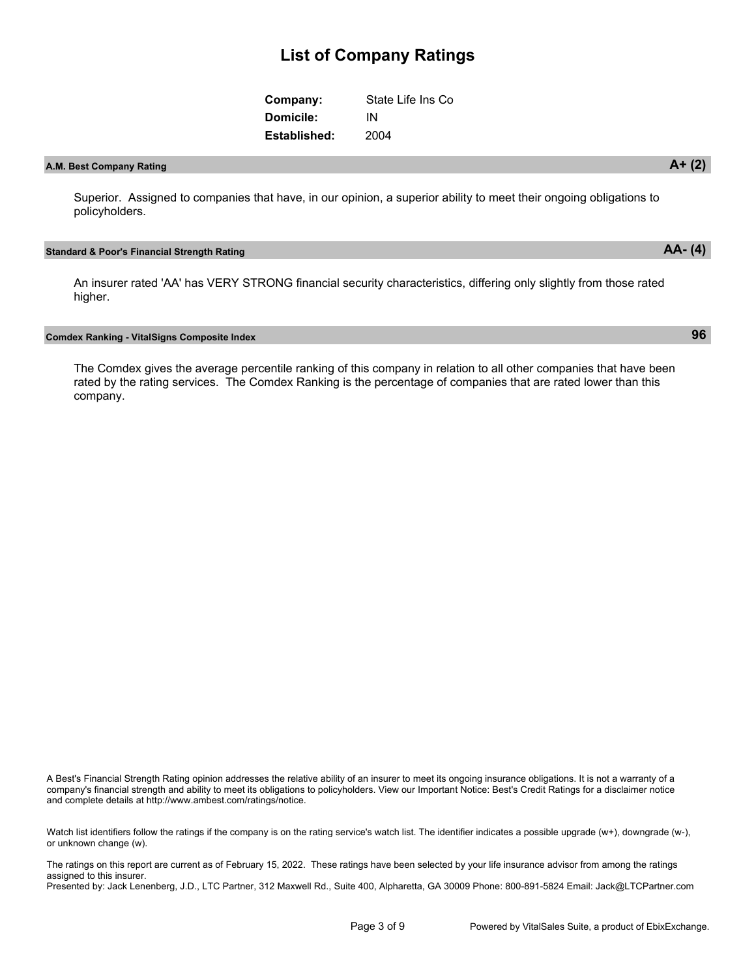| Company:     | State Life Ins Co |
|--------------|-------------------|
| Domicile:    | ΙN                |
| Established: | 2004              |

# **A.M. Best Company Rating A+ (2)**

Superior. Assigned to companies that have, in our opinion, a superior ability to meet their ongoing obligations to policyholders.

#### **Standard & Poor's Financial Strength Rating AA- (4)**

An insurer rated 'AA' has VERY STRONG financial security characteristics, differing only slightly from those rated higher.

#### **Comdex Ranking - VitalSigns Composite Index 96**

The Comdex gives the average percentile ranking of this company in relation to all other companies that have been rated by the rating services. The Comdex Ranking is the percentage of companies that are rated lower than this company.

A Best's Financial Strength Rating opinion addresses the relative ability of an insurer to meet its ongoing insurance obligations. It is not a warranty of a company's financial strength and ability to meet its obligations to policyholders. View our Important Notice: Best's Credit Ratings for a disclaimer notice and complete details at http://www.ambest.com/ratings/notice.

Watch list identifiers follow the ratings if the company is on the rating service's watch list. The identifier indicates a possible upgrade (w+), downgrade (w-), or unknown change (w).

The ratings on this report are current as of February 15, 2022. These ratings have been selected by your life insurance advisor from among the ratings assigned to this insurer.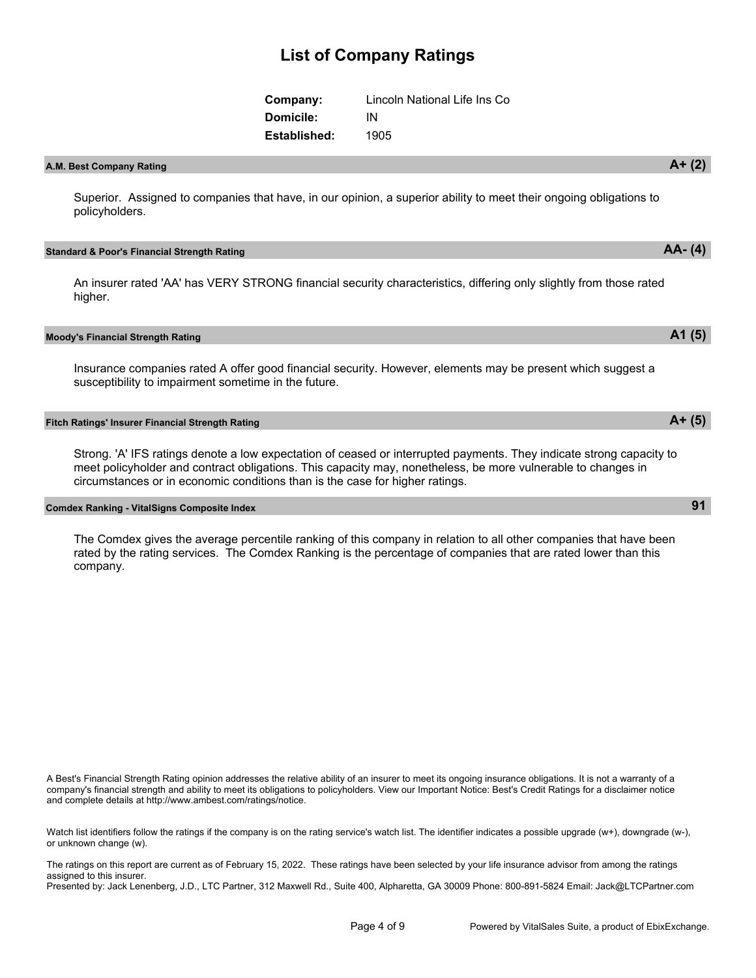| Company:     | Lincoln National Life Ins Co |
|--------------|------------------------------|
| Domicile:    | IN                           |
| Established: | 1905                         |

## **A.M. Best Company Rating A+ (2)**

Superior. Assigned to companies that have, in our opinion, a superior ability to meet their ongoing obligations to policyholders.

#### **Standard & Poor's Financial Strength Rating AA- (4)**

An insurer rated 'AA' has VERY STRONG financial security characteristics, differing only slightly from those rated higher.

#### **Moody's Financial Strength Rating A1 (5)**

Insurance companies rated A offer good financial security. However, elements may be present which suggest a susceptibility to impairment sometime in the future.

### **Fitch Ratings' Insurer Financial Strength Rating A+ (5)**

Strong. 'A' IFS ratings denote a low expectation of ceased or interrupted payments. They indicate strong capacity to meet policyholder and contract obligations. This capacity may, nonetheless, be more vulnerable to changes in circumstances or in economic conditions than is the case for higher ratings.

### **Comdex Ranking - VitalSigns Composite Index 91**

The Comdex gives the average percentile ranking of this company in relation to all other companies that have been rated by the rating services. The Comdex Ranking is the percentage of companies that are rated lower than this company.

A Best's Financial Strength Rating opinion addresses the relative ability of an insurer to meet its ongoing insurance obligations. It is not a warranty of a company's financial strength and ability to meet its obligations to policyholders. View our Important Notice: Best's Credit Ratings for a disclaimer notice and complete details at http://www.ambest.com/ratings/notice.

Watch list identifiers follow the ratings if the company is on the rating service's watch list. The identifier indicates a possible upgrade (w+), downgrade (w-), or unknown change (w).

The ratings on this report are current as of February 15, 2022. These ratings have been selected by your life insurance advisor from among the ratings assigned to this insurer.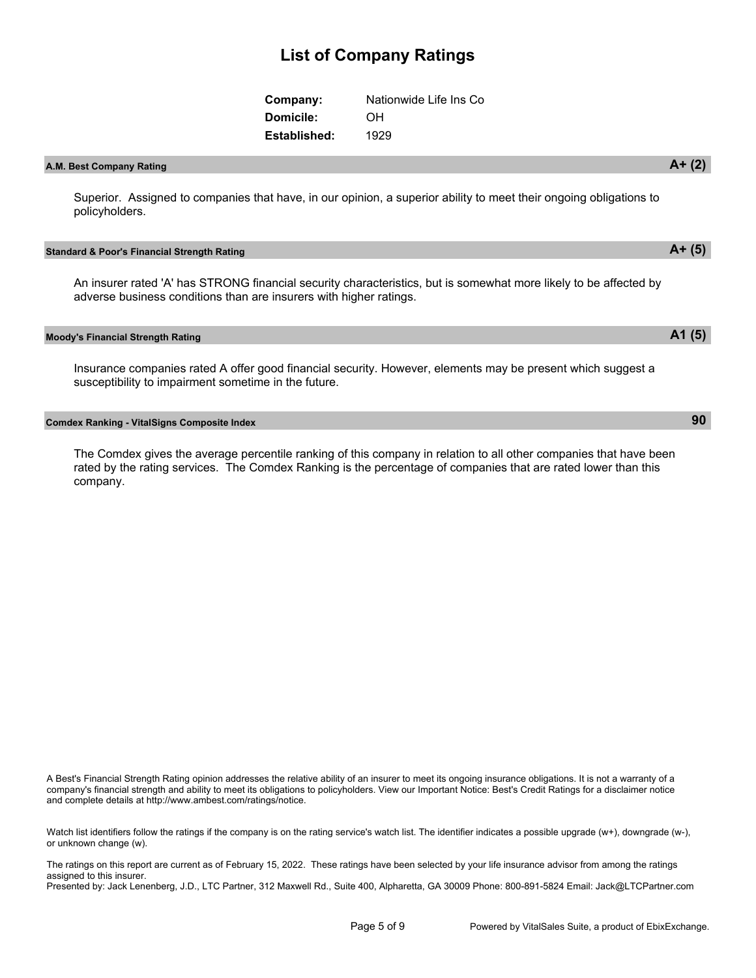| Company:     | Nationwide Life Ins Co |
|--------------|------------------------|
| Domicile:    | OH.                    |
| Established: | 1929                   |

## **A.M. Best Company Rating A+ (2)**

Superior. Assigned to companies that have, in our opinion, a superior ability to meet their ongoing obligations to policyholders.

#### **Standard & Poor's Financial Strength Rating A+ (5)**

An insurer rated 'A' has STRONG financial security characteristics, but is somewhat more likely to be affected by adverse business conditions than are insurers with higher ratings.

**Moody's Financial Strength Rating A1 (5)**

Insurance companies rated A offer good financial security. However, elements may be present which suggest a susceptibility to impairment sometime in the future.

#### **Comdex Ranking - VitalSigns Composite Index 90**

The Comdex gives the average percentile ranking of this company in relation to all other companies that have been rated by the rating services. The Comdex Ranking is the percentage of companies that are rated lower than this company.

A Best's Financial Strength Rating opinion addresses the relative ability of an insurer to meet its ongoing insurance obligations. It is not a warranty of a company's financial strength and ability to meet its obligations to policyholders. View our Important Notice: Best's Credit Ratings for a disclaimer notice and complete details at http://www.ambest.com/ratings/notice.

Watch list identifiers follow the ratings if the company is on the rating service's watch list. The identifier indicates a possible upgrade (w+), downgrade (w-), or unknown change (w).

The ratings on this report are current as of February 15, 2022. These ratings have been selected by your life insurance advisor from among the ratings assigned to this insurer.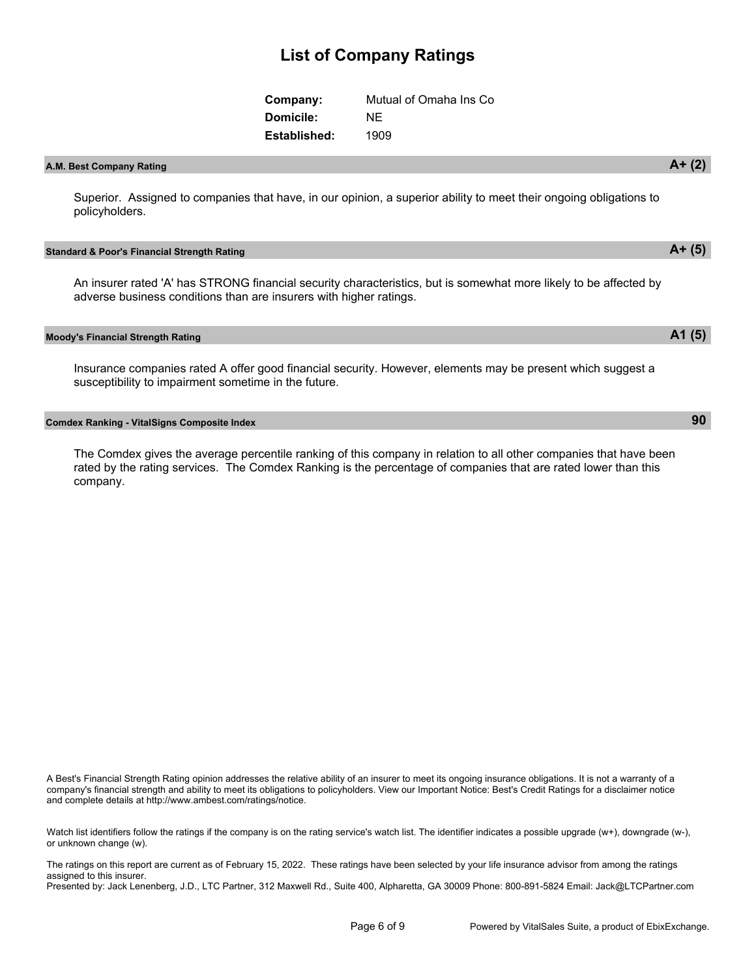| Company:     | Mutual of Omaha Ins Co |
|--------------|------------------------|
| Domicile:    | NF.                    |
| Established: | 1909                   |

## **A.M. Best Company Rating A+ (2)**

Superior. Assigned to companies that have, in our opinion, a superior ability to meet their ongoing obligations to policyholders.

#### **Standard & Poor's Financial Strength Rating A+ (5)**

An insurer rated 'A' has STRONG financial security characteristics, but is somewhat more likely to be affected by adverse business conditions than are insurers with higher ratings.

**Moody's Financial Strength Rating A1 (5)**

Insurance companies rated A offer good financial security. However, elements may be present which suggest a susceptibility to impairment sometime in the future.

### **Comdex Ranking - VitalSigns Composite Index 90**

The Comdex gives the average percentile ranking of this company in relation to all other companies that have been rated by the rating services. The Comdex Ranking is the percentage of companies that are rated lower than this company.

A Best's Financial Strength Rating opinion addresses the relative ability of an insurer to meet its ongoing insurance obligations. It is not a warranty of a company's financial strength and ability to meet its obligations to policyholders. View our Important Notice: Best's Credit Ratings for a disclaimer notice and complete details at http://www.ambest.com/ratings/notice.

Watch list identifiers follow the ratings if the company is on the rating service's watch list. The identifier indicates a possible upgrade (w+), downgrade (w-), or unknown change (w).

The ratings on this report are current as of February 15, 2022. These ratings have been selected by your life insurance advisor from among the ratings assigned to this insurer.

Presented by: Jack Lenenberg, J.D., LTC Partner, 312 Maxwell Rd., Suite 400, Alpharetta, GA 30009 Phone: 800-891-5824 Email: Jack@LTCPartner.com

#### Page 6 of 9 Powered by VitalSales Suite, a product of EbixExchange.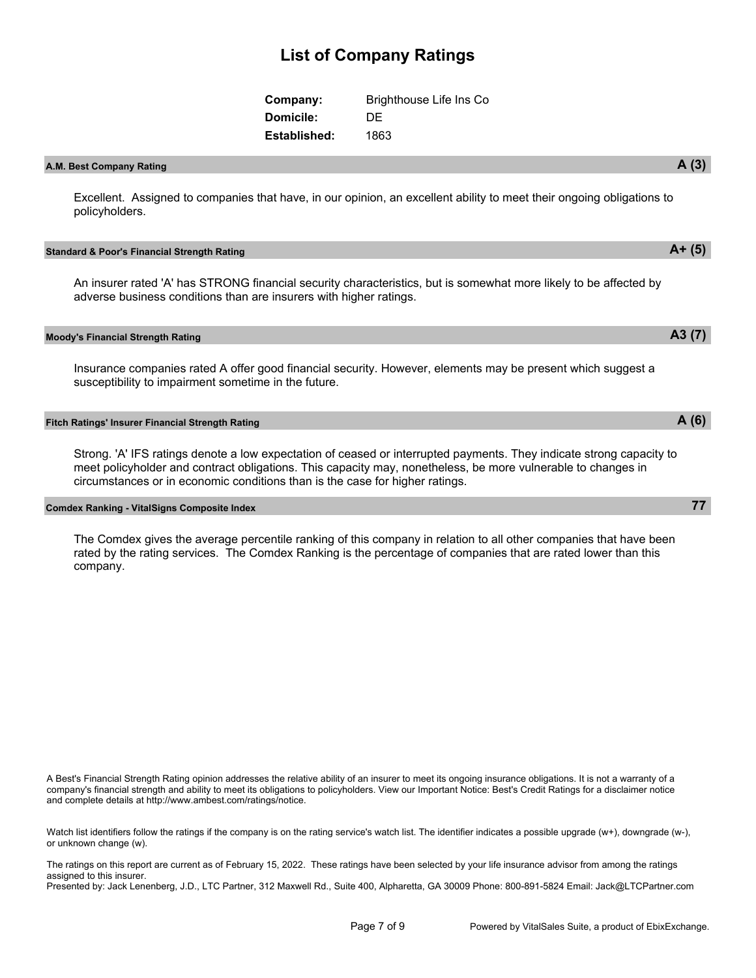| Company:         | Brighthouse Life Ins Co |
|------------------|-------------------------|
| <b>Domicile:</b> | DE                      |
| Established:     | 1863                    |

## **A.M. Best Company Rating A (3)**

Excellent. Assigned to companies that have, in our opinion, an excellent ability to meet their ongoing obligations to policyholders.

#### **Standard & Poor's Financial Strength Rating A+ (5)**

An insurer rated 'A' has STRONG financial security characteristics, but is somewhat more likely to be affected by adverse business conditions than are insurers with higher ratings.

#### **Moody's Financial Strength Rating A3 (7)**

Insurance companies rated A offer good financial security. However, elements may be present which suggest a susceptibility to impairment sometime in the future.

### **Fitch Ratings' Insurer Financial Strength Rating A (6)**

Strong. 'A' IFS ratings denote a low expectation of ceased or interrupted payments. They indicate strong capacity to meet policyholder and contract obligations. This capacity may, nonetheless, be more vulnerable to changes in circumstances or in economic conditions than is the case for higher ratings.

#### **Comdex Ranking - VitalSigns Composite Index 77**

The Comdex gives the average percentile ranking of this company in relation to all other companies that have been rated by the rating services. The Comdex Ranking is the percentage of companies that are rated lower than this company.

A Best's Financial Strength Rating opinion addresses the relative ability of an insurer to meet its ongoing insurance obligations. It is not a warranty of a company's financial strength and ability to meet its obligations to policyholders. View our Important Notice: Best's Credit Ratings for a disclaimer notice and complete details at http://www.ambest.com/ratings/notice.

Watch list identifiers follow the ratings if the company is on the rating service's watch list. The identifier indicates a possible upgrade (w+), downgrade (w-), or unknown change (w).

The ratings on this report are current as of February 15, 2022. These ratings have been selected by your life insurance advisor from among the ratings assigned to this insurer.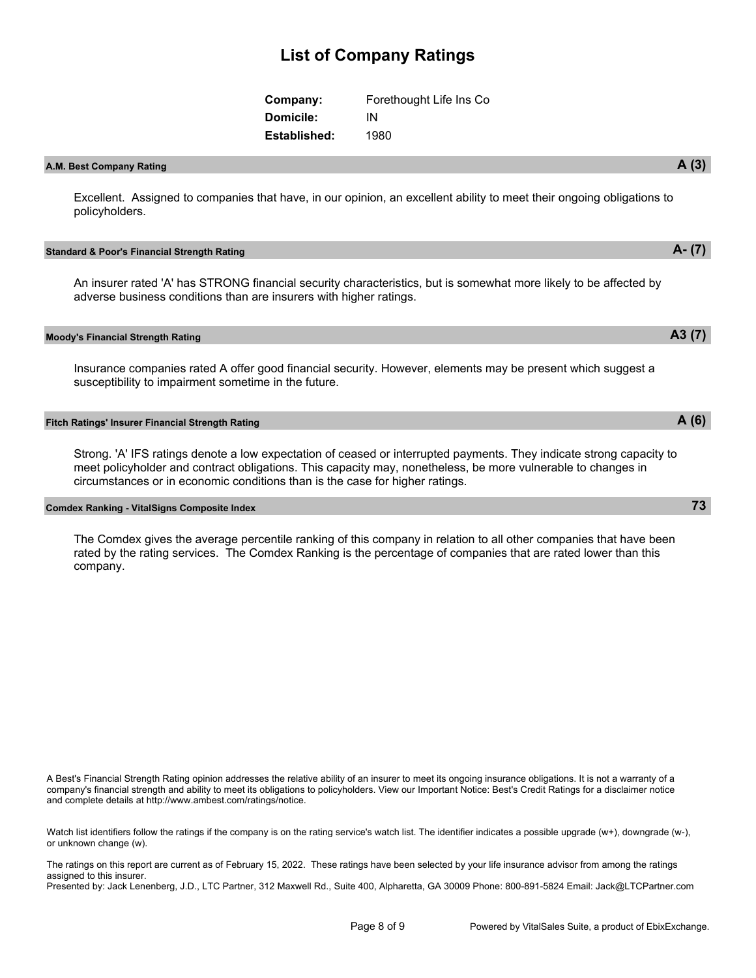| Company:     | Forethought Life Ins Co |
|--------------|-------------------------|
| Domicile:    | ΙN                      |
| Established: | 1980                    |

## **A.M. Best Company Rating A (3)**

Excellent. Assigned to companies that have, in our opinion, an excellent ability to meet their ongoing obligations to policyholders.

#### **Standard & Poor's Financial Strength Rating A- (7)**

An insurer rated 'A' has STRONG financial security characteristics, but is somewhat more likely to be affected by adverse business conditions than are insurers with higher ratings.

#### **Moody's Financial Strength Rating A3 (7)**

Insurance companies rated A offer good financial security. However, elements may be present which suggest a susceptibility to impairment sometime in the future.

### **Fitch Ratings' Insurer Financial Strength Rating A (6)**

Strong. 'A' IFS ratings denote a low expectation of ceased or interrupted payments. They indicate strong capacity to meet policyholder and contract obligations. This capacity may, nonetheless, be more vulnerable to changes in circumstances or in economic conditions than is the case for higher ratings.

### **Comdex Ranking - VitalSigns Composite Index 73**

The Comdex gives the average percentile ranking of this company in relation to all other companies that have been rated by the rating services. The Comdex Ranking is the percentage of companies that are rated lower than this company.

A Best's Financial Strength Rating opinion addresses the relative ability of an insurer to meet its ongoing insurance obligations. It is not a warranty of a company's financial strength and ability to meet its obligations to policyholders. View our Important Notice: Best's Credit Ratings for a disclaimer notice and complete details at http://www.ambest.com/ratings/notice.

Watch list identifiers follow the ratings if the company is on the rating service's watch list. The identifier indicates a possible upgrade (w+), downgrade (w-), or unknown change (w).

The ratings on this report are current as of February 15, 2022. These ratings have been selected by your life insurance advisor from among the ratings assigned to this insurer.

Presented by: Jack Lenenberg, J.D., LTC Partner, 312 Maxwell Rd., Suite 400, Alpharetta, GA 30009 Phone: 800-891-5824 Email: Jack@LTCPartner.com

#### Page 8 of 9 Powered by VitalSales Suite, a product of EbixExchange.